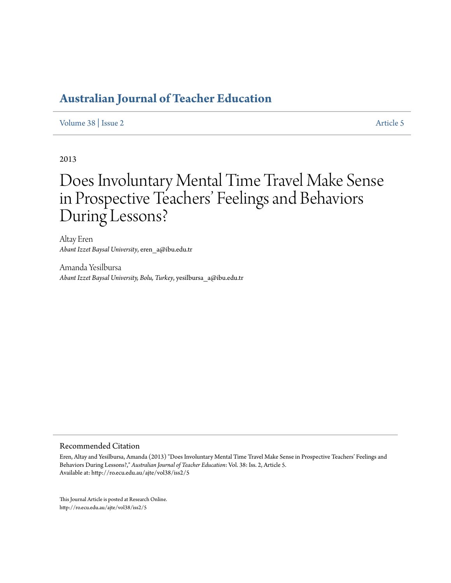[Volume 38](http://ro.ecu.edu.au/ajte/vol38) | [Issue 2](http://ro.ecu.edu.au/ajte/vol38/iss2) [Article 5](http://ro.ecu.edu.au/ajte/vol38/iss2/5)

2013

# Does Involuntary Mental Time Travel Make Sense in Prospective Teachers' Feelings and Behaviors During Lessons?

Altay Eren *Abant Izzet Baysal University*, eren\_a@ibu.edu.tr

Amanda Yesilbursa *Abant Izzet Baysal University, Bolu, Turkey*, yesilbursa\_a@ibu.edu.tr

#### Recommended Citation

Eren, Altay and Yesilbursa, Amanda (2013) "Does Involuntary Mental Time Travel Make Sense in Prospective Teachers' Feelings and Behaviors During Lessons?," *Australian Journal of Teacher Education*: Vol. 38: Iss. 2, Article 5. Available at: http://ro.ecu.edu.au/ajte/vol38/iss2/5

This Journal Article is posted at Research Online. http://ro.ecu.edu.au/ajte/vol38/iss2/5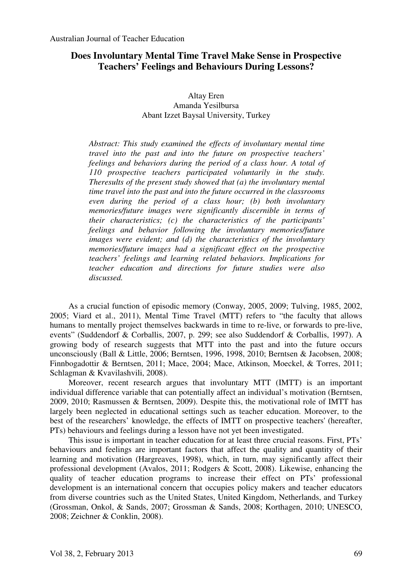# **Does Involuntary Mental Time Travel Make Sense in Prospective Teachers' Feelings and Behaviours During Lessons?**

Altay Eren Amanda Yesilbursa Abant Izzet Baysal University, Turkey

*Abstract: This study examined the effects of involuntary mental time travel into the past and into the future on prospective teachers' feelings and behaviors during the period of a class hour. A total of 110 prospective teachers participated voluntarily in the study. Theresults of the present study showed that (a) the involuntary mental time travel into the past and into the future occurred in the classrooms even during the period of a class hour; (b) both involuntary memories/future images were significantly discernible in terms of their characteristics; (c) the characteristics of the participants' feelings and behavior following the involuntary memories/future images were evident; and (d) the characteristics of the involuntary memories/future images had a significant effect on the prospective teachers' feelings and learning related behaviors. Implications for teacher education and directions for future studies were also discussed.* 

As a crucial function of episodic memory (Conway, 2005, 2009; Tulving, 1985, 2002, 2005; Viard et al., 2011), Mental Time Travel (MTT) refers to "the faculty that allows humans to mentally project themselves backwards in time to re-live, or forwards to pre-live, events" (Suddendorf & Corballis, 2007, p. 299; see also Suddendorf & Corballis, 1997). A growing body of research suggests that MTT into the past and into the future occurs unconsciously (Ball & Little, 2006; Berntsen, 1996, 1998, 2010; Berntsen & Jacobsen, 2008; Finnbogadottir & Berntsen, 2011; Mace, 2004; Mace, Atkinson, Moeckel, & Torres, 2011; Schlagman & Kvavilashvili, 2008).

Moreover, recent research argues that involuntary MTT (IMTT) is an important individual difference variable that can potentially affect an individual's motivation (Berntsen, 2009, 2010; Rasmussen & Berntsen, 2009). Despite this, the motivational role of IMTT has largely been neglected in educational settings such as teacher education. Moreover, to the best of the researchers' knowledge, the effects of IMTT on prospective teachers' (hereafter, PTs) behaviours and feelings during a lesson have not yet been investigated.

This issue is important in teacher education for at least three crucial reasons. First, PTs' behaviours and feelings are important factors that affect the quality and quantity of their learning and motivation (Hargreaves, 1998), which, in turn, may significantly affect their professional development (Avalos, 2011; Rodgers & Scott, 2008). Likewise, enhancing the quality of teacher education programs to increase their effect on PTs' professional development is an international concern that occupies policy makers and teacher educators from diverse countries such as the United States, United Kingdom, Netherlands, and Turkey (Grossman, Onkol, & Sands, 2007; Grossman & Sands, 2008; Korthagen, 2010; UNESCO, 2008; Zeichner & Conklin, 2008).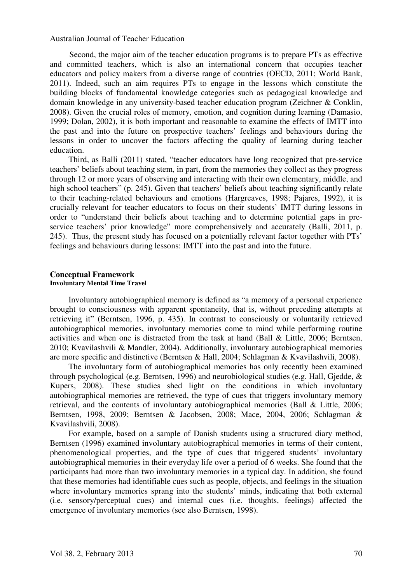Second, the major aim of the teacher education programs is to prepare PTs as effective and committed teachers, which is also an international concern that occupies teacher educators and policy makers from a diverse range of countries (OECD, 2011; World Bank, 2011). Indeed, such an aim requires PTs to engage in the lessons which constitute the building blocks of fundamental knowledge categories such as pedagogical knowledge and domain knowledge in any university-based teacher education program (Zeichner & Conklin, 2008). Given the crucial roles of memory, emotion, and cognition during learning (Damasio, 1999; Dolan, 2002), it is both important and reasonable to examine the effects of IMTT into the past and into the future on prospective teachers' feelings and behaviours during the lessons in order to uncover the factors affecting the quality of learning during teacher education.

Third, as Balli (2011) stated, "teacher educators have long recognized that pre-service teachers' beliefs about teaching stem, in part, from the memories they collect as they progress through 12 or more years of observing and interacting with their own elementary, middle, and high school teachers" (p. 245). Given that teachers' beliefs about teaching significantly relate to their teaching-related behaviours and emotions (Hargreaves, 1998; Pajares, 1992), it is crucially relevant for teacher educators to focus on their students' IMTT during lessons in order to "understand their beliefs about teaching and to determine potential gaps in preservice teachers' prior knowledge" more comprehensively and accurately (Balli, 2011, p. 245). Thus, the present study has focused on a potentially relevant factor together with PTs' feelings and behaviours during lessons: IMTT into the past and into the future.

#### **Conceptual Framework Involuntary Mental Time Travel**

Involuntary autobiographical memory is defined as "a memory of a personal experience brought to consciousness with apparent spontaneity, that is, without preceding attempts at retrieving it" (Berntsen, 1996, p. 435). In contrast to consciously or voluntarily retrieved autobiographical memories, involuntary memories come to mind while performing routine activities and when one is distracted from the task at hand (Ball & Little, 2006; Berntsen, 2010; Kvavilashvili & Mandler, 2004). Additionally, involuntary autobiographical memories are more specific and distinctive (Berntsen & Hall, 2004; Schlagman & Kvavilashvili, 2008).

The involuntary form of autobiographical memories has only recently been examined through psychological (e.g. Berntsen, 1996) and neurobiological studies (e.g. Hall, Gjedde, & Kupers, 2008). These studies shed light on the conditions in which involuntary autobiographical memories are retrieved, the type of cues that triggers involuntary memory retrieval, and the contents of involuntary autobiographical memories (Ball & Little, 2006; Berntsen, 1998, 2009; Berntsen & Jacobsen, 2008; Mace, 2004, 2006; Schlagman & Kvavilashvili, 2008).

For example, based on a sample of Danish students using a structured diary method, Berntsen (1996) examined involuntary autobiographical memories in terms of their content, phenomenological properties, and the type of cues that triggered students' involuntary autobiographical memories in their everyday life over a period of 6 weeks. She found that the participants had more than two involuntary memories in a typical day. In addition, she found that these memories had identifiable cues such as people, objects, and feelings in the situation where involuntary memories sprang into the students' minds, indicating that both external (i.e. sensory/perceptual cues) and internal cues (i.e. thoughts, feelings) affected the emergence of involuntary memories (see also Berntsen, 1998).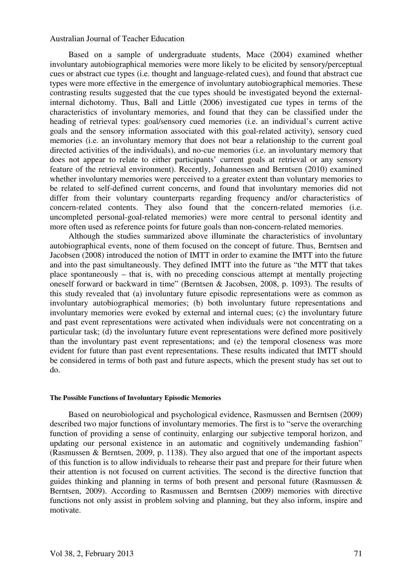Based on a sample of undergraduate students, Mace (2004) examined whether involuntary autobiographical memories were more likely to be elicited by sensory/perceptual cues or abstract cue types (i.e. thought and language-related cues), and found that abstract cue types were more effective in the emergence of involuntary autobiographical memories. These contrasting results suggested that the cue types should be investigated beyond the externalinternal dichotomy. Thus, Ball and Little (2006) investigated cue types in terms of the characteristics of involuntary memories, and found that they can be classified under the heading of retrieval types: goal/sensory cued memories (i.e. an individual's current active goals and the sensory information associated with this goal-related activity), sensory cued memories (i.e. an involuntary memory that does not bear a relationship to the current goal directed activities of the individuals), and no-cue memories (i.e. an involuntary memory that does not appear to relate to either participants' current goals at retrieval or any sensory feature of the retrieval environment). Recently, Johannessen and Berntsen (2010) examined whether involuntary memories were perceived to a greater extent than voluntary memories to be related to self-defined current concerns, and found that involuntary memories did not differ from their voluntary counterparts regarding frequency and/or characteristics of concern-related contents. They also found that the concern-related memories (i.e. uncompleted personal-goal-related memories) were more central to personal identity and more often used as reference points for future goals than non-concern-related memories.

Although the studies summarized above illuminate the characteristics of involuntary autobiographical events, none of them focused on the concept of future. Thus, Berntsen and Jacobsen (2008) introduced the notion of IMTT in order to examine the IMTT into the future and into the past simultaneously. They defined IMTT into the future as "the MTT that takes place spontaneously – that is, with no preceding conscious attempt at mentally projecting oneself forward or backward in time" (Berntsen & Jacobsen, 2008, p. 1093). The results of this study revealed that (a) involuntary future episodic representations were as common as involuntary autobiographical memories; (b) both involuntary future representations and involuntary memories were evoked by external and internal cues; (c) the involuntary future and past event representations were activated when individuals were not concentrating on a particular task; (d) the involuntary future event representations were defined more positively than the involuntary past event representations; and (e) the temporal closeness was more evident for future than past event representations. These results indicated that IMTT should be considered in terms of both past and future aspects, which the present study has set out to do.

#### **The Possible Functions of Involuntary Episodic Memories**

Based on neurobiological and psychological evidence, Rasmussen and Berntsen (2009) described two major functions of involuntary memories. The first is to "serve the overarching function of providing a sense of continuity, enlarging our subjective temporal horizon, and updating our personal existence in an automatic and cognitively undemanding fashion" (Rasmussen & Berntsen, 2009, p. 1138). They also argued that one of the important aspects of this function is to allow individuals to rehearse their past and prepare for their future when their attention is not focused on current activities. The second is the directive function that guides thinking and planning in terms of both present and personal future (Rasmussen & Berntsen, 2009). According to Rasmussen and Berntsen (2009) memories with directive functions not only assist in problem solving and planning, but they also inform, inspire and motivate.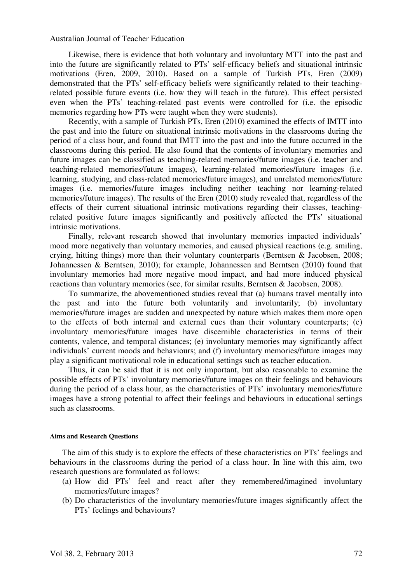Likewise, there is evidence that both voluntary and involuntary MTT into the past and into the future are significantly related to PTs' self-efficacy beliefs and situational intrinsic motivations (Eren, 2009, 2010). Based on a sample of Turkish PTs, Eren (2009) demonstrated that the PTs' self-efficacy beliefs were significantly related to their teachingrelated possible future events (i.e. how they will teach in the future). This effect persisted even when the PTs' teaching-related past events were controlled for (i.e. the episodic memories regarding how PTs were taught when they were students).

Recently, with a sample of Turkish PTs, Eren (2010) examined the effects of IMTT into the past and into the future on situational intrinsic motivations in the classrooms during the period of a class hour, and found that IMTT into the past and into the future occurred in the classrooms during this period. He also found that the contents of involuntary memories and future images can be classified as teaching-related memories/future images (i.e. teacher and teaching-related memories/future images), learning-related memories/future images (i.e. learning, studying, and class-related memories/future images), and unrelated memories/future images (i.e. memories/future images including neither teaching nor learning-related memories/future images). The results of the Eren (2010) study revealed that, regardless of the effects of their current situational intrinsic motivations regarding their classes, teachingrelated positive future images significantly and positively affected the PTs' situational intrinsic motivations.

Finally, relevant research showed that involuntary memories impacted individuals' mood more negatively than voluntary memories, and caused physical reactions (e.g. smiling, crying, hitting things) more than their voluntary counterparts (Berntsen & Jacobsen, 2008; Johannessen & Berntsen, 2010); for example, Johannessen and Berntsen (2010) found that involuntary memories had more negative mood impact, and had more induced physical reactions than voluntary memories (see, for similar results, Berntsen & Jacobsen, 2008).

To summarize, the abovementioned studies reveal that (a) humans travel mentally into the past and into the future both voluntarily and involuntarily; (b) involuntary memories/future images are sudden and unexpected by nature which makes them more open to the effects of both internal and external cues than their voluntary counterparts; (c) involuntary memories/future images have discernible characteristics in terms of their contents, valence, and temporal distances; (e) involuntary memories may significantly affect individuals' current moods and behaviours; and (f) involuntary memories/future images may play a significant motivational role in educational settings such as teacher education.

Thus, it can be said that it is not only important, but also reasonable to examine the possible effects of PTs' involuntary memories/future images on their feelings and behaviours during the period of a class hour, as the characteristics of PTs' involuntary memories/future images have a strong potential to affect their feelings and behaviours in educational settings such as classrooms.

#### **Aims and Research Questions**

The aim of this study is to explore the effects of these characteristics on PTs' feelings and behaviours in the classrooms during the period of a class hour. In line with this aim, two research questions are formulated as follows:

- (a) How did PTs' feel and react after they remembered/imagined involuntary memories/future images?
- (b) Do characteristics of the involuntary memories/future images significantly affect the PTs' feelings and behaviours?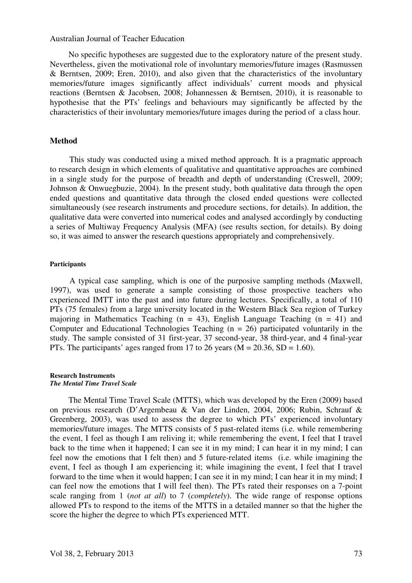No specific hypotheses are suggested due to the exploratory nature of the present study. Nevertheless, given the motivational role of involuntary memories/future images (Rasmussen & Berntsen, 2009; Eren, 2010), and also given that the characteristics of the involuntary memories/future images significantly affect individuals' current moods and physical reactions (Berntsen & Jacobsen, 2008; Johannessen & Berntsen, 2010), it is reasonable to hypothesise that the PTs' feelings and behaviours may significantly be affected by the characteristics of their involuntary memories/future images during the period of a class hour.

# **Method**

This study was conducted using a mixed method approach. It is a pragmatic approach to research design in which elements of qualitative and quantitative approaches are combined in a single study for the purpose of breadth and depth of understanding (Creswell, 2009; Johnson & Onwuegbuzie, 2004). In the present study, both qualitative data through the open ended questions and quantitative data through the closed ended questions were collected simultaneously (see research instruments and procedure sections, for details). In addition, the qualitative data were converted into numerical codes and analysed accordingly by conducting a series of Multiway Frequency Analysis (MFA) (see results section, for details). By doing so, it was aimed to answer the research questions appropriately and comprehensively.

#### **Participants**

A typical case sampling, which is one of the purposive sampling methods (Maxwell, 1997), was used to generate a sample consisting of those prospective teachers who experienced IMTT into the past and into future during lectures. Specifically, a total of 110 PTs (75 females) from a large university located in the Western Black Sea region of Turkey majoring in Mathematics Teaching ( $n = 43$ ), English Language Teaching ( $n = 41$ ) and Computer and Educational Technologies Teaching  $(n = 26)$  participated voluntarily in the study. The sample consisted of 31 first-year, 37 second-year, 38 third-year, and 4 final-year PTs. The participants' ages ranged from 17 to 26 years ( $M = 20.36$ ,  $SD = 1.60$ ).

#### **Research Instruments** *The Mental Time Travel Scale*

The Mental Time Travel Scale (MTTS), which was developed by the Eren (2009) based on previous research (D'Argembeau & Van der Linden, 2004, 2006; Rubin, Schrauf & Greenberg, 2003), was used to assess the degree to which PTs' experienced involuntary memories/future images. The MTTS consists of 5 past-related items (i.e. while remembering the event, I feel as though I am reliving it; while remembering the event, I feel that I travel back to the time when it happened; I can see it in my mind; I can hear it in my mind; I can feel now the emotions that I felt then) and 5 future-related items (i.e. while imagining the event, I feel as though I am experiencing it; while imagining the event, I feel that I travel forward to the time when it would happen; I can see it in my mind; I can hear it in my mind; I can feel now the emotions that I will feel then). The PTs rated their responses on a 7-point scale ranging from 1 (*not at all*) to 7 (*completely*). The wide range of response options allowed PTs to respond to the items of the MTTS in a detailed manner so that the higher the score the higher the degree to which PTs experienced MTT.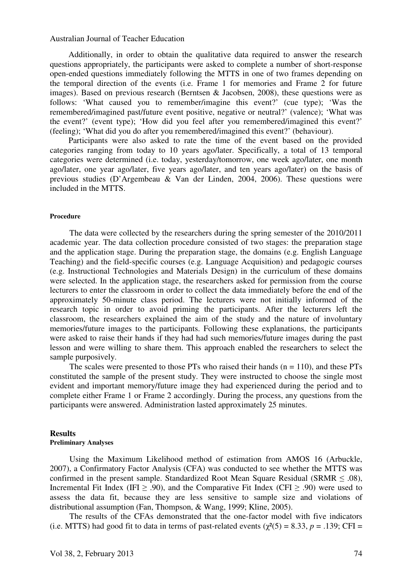Additionally, in order to obtain the qualitative data required to answer the research questions appropriately, the participants were asked to complete a number of short-response open-ended questions immediately following the MTTS in one of two frames depending on the temporal direction of the events (i.e. Frame 1 for memories and Frame 2 for future images). Based on previous research (Berntsen & Jacobsen, 2008), these questions were as follows: 'What caused you to remember/imagine this event?' (cue type); 'Was the remembered/imagined past/future event positive, negative or neutral?' (valence); 'What was the event?' (event type); 'How did you feel after you remembered/imagined this event?' (feeling); 'What did you do after you remembered/imagined this event?' (behaviour).

Participants were also asked to rate the time of the event based on the provided categories ranging from today to 10 years ago/later. Specifically, a total of 13 temporal categories were determined (i.e. today, yesterday/tomorrow, one week ago/later, one month ago/later, one year ago/later, five years ago/later, and ten years ago/later) on the basis of previous studies (D'Argembeau & Van der Linden, 2004, 2006). These questions were included in the MTTS.

# **Procedure**

The data were collected by the researchers during the spring semester of the 2010/2011 academic year. The data collection procedure consisted of two stages: the preparation stage and the application stage. During the preparation stage, the domains (e.g. English Language Teaching) and the field-specific courses (e.g. Language Acquisition) and pedagogic courses (e.g. Instructional Technologies and Materials Design) in the curriculum of these domains were selected. In the application stage, the researchers asked for permission from the course lecturers to enter the classroom in order to collect the data immediately before the end of the approximately 50-minute class period. The lecturers were not initially informed of the research topic in order to avoid priming the participants. After the lecturers left the classroom, the researchers explained the aim of the study and the nature of involuntary memories/future images to the participants. Following these explanations, the participants were asked to raise their hands if they had had such memories/future images during the past lesson and were willing to share them. This approach enabled the researchers to select the sample purposively.

The scales were presented to those PTs who raised their hands  $(n = 110)$ , and these PTs constituted the sample of the present study. They were instructed to choose the single most evident and important memory/future image they had experienced during the period and to complete either Frame 1 or Frame 2 accordingly. During the process, any questions from the participants were answered. Administration lasted approximately 25 minutes.

# **Results**

# **Preliminary Analyses**

Using the Maximum Likelihood method of estimation from AMOS 16 (Arbuckle, 2007), a Confirmatory Factor Analysis (CFA) was conducted to see whether the MTTS was confirmed in the present sample. Standardized Root Mean Square Residual (SRMR  $\leq$  .08), Incremental Fit Index (IFI  $\geq$  .90), and the Comparative Fit Index (CFI  $\geq$  .90) were used to assess the data fit, because they are less sensitive to sample size and violations of distributional assumption (Fan, Thompson, & Wang, 1999; Kline, 2005).

The results of the CFAs demonstrated that the one-factor model with five indicators (i.e. MTTS) had good fit to data in terms of past-related events ( $\gamma^2$ (5) = 8.33, *p* = .139; CFI =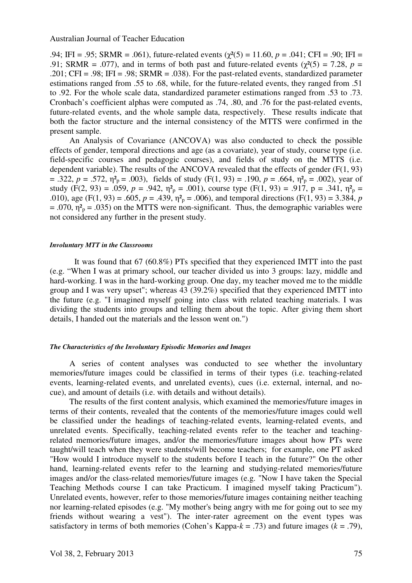.94; IFI = .95; SRMR = .061), future-related events (χ²(5) = 11.60, *p* = .041; CFI = .90; IFI = .91; SRMR = .077), and in terms of both past and future-related events ( $\chi^2(5) = 7.28$ ,  $p =$ .201; CFI = .98; IFI = .98; SRMR = .038). For the past-related events, standardized parameter estimations ranged from .55 to .68, while, for the future-related events, they ranged from .51 to .92. For the whole scale data, standardized parameter estimations ranged from .53 to .73. Cronbach's coefficient alphas were computed as .74, .80, and .76 for the past-related events, future-related events, and the whole sample data, respectively. These results indicate that both the factor structure and the internal consistency of the MTTS were confirmed in the present sample.

An Analysis of Covariance (ANCOVA) was also conducted to check the possible effects of gender, temporal directions and age (as a covariate), year of study, course type (i.e. field-specific courses and pedagogic courses), and fields of study on the MTTS (i.e. dependent variable). The results of the ANCOVA revealed that the effects of gender (F(1, 93)  $= .322, p = .572, \eta_{p}^{2} = .003$ , fields of study (F(1, 93) = .190,  $p = .664, \eta_{p}^{2} = .002$ ), year of study  $(F(2, 93) = .059, p = .942, \eta^2_p = .001)$ , course type  $(F(1, 93) = .917, p = .341, \eta^2_p = .001)$ .010), age (F(1, 93) = .605,  $p = .439$ ,  $\eta_{p}^{2} = .006$ ), and temporal directions (F(1, 93) = 3.384,  $p$  $= .070$ ,  $\eta^2$ <sub>p</sub> = .035) on the MTTS were non-significant. Thus, the demographic variables were not considered any further in the present study.

#### *Involuntary MTT in the Classrooms*

It was found that 67 (60.8%) PTs specified that they experienced IMTT into the past (e.g. "When I was at primary school, our teacher divided us into 3 groups: lazy, middle and hard-working. I was in the hard-working group. One day, my teacher moved me to the middle group and I was very upset"; whereas 43 (39.2%) specified that they experienced IMTT into the future (e.g. "I imagined myself going into class with related teaching materials. I was dividing the students into groups and telling them about the topic. After giving them short details, I handed out the materials and the lesson went on.")

#### *The Characteristics of the Involuntary Episodic Memories and Images*

A series of content analyses was conducted to see whether the involuntary memories/future images could be classified in terms of their types (i.e. teaching-related events, learning-related events, and unrelated events), cues (i.e. external, internal, and nocue), and amount of details (i.e. with details and without details).

The results of the first content analysis, which examined the memories/future images in terms of their contents, revealed that the contents of the memories/future images could well be classified under the headings of teaching-related events, learning-related events, and unrelated events. Specifically, teaching-related events refer to the teacher and teachingrelated memories/future images, and/or the memories/future images about how PTs were taught/will teach when they were students/will become teachers; for example, one PT asked "How would I introduce myself to the students before I teach in the future?" On the other hand, learning-related events refer to the learning and studying-related memories/future images and/or the class-related memories/future images (e.g. "Now I have taken the Special Teaching Methods course I can take Practicum. I imagined myself taking Practicum"). Unrelated events, however, refer to those memories/future images containing neither teaching nor learning-related episodes (e.g. "My mother's being angry with me for going out to see my friends without wearing a vest"). The inter-rater agreement on the event types was satisfactory in terms of both memories (Cohen's Kappa- $k = .73$ ) and future images ( $k = .79$ ),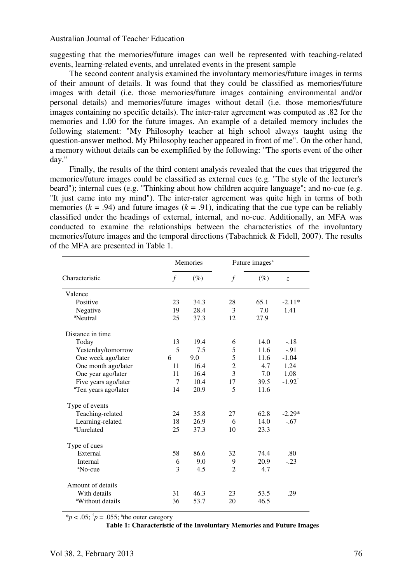suggesting that the memories/future images can well be represented with teaching-related events, learning-related events, and unrelated events in the present sample

The second content analysis examined the involuntary memories/future images in terms of their amount of details. It was found that they could be classified as memories/future images with detail (i.e. those memories/future images containing environmental and/or personal details) and memories/future images without detail (i.e. those memories/future images containing no specific details). The inter-rater agreement was computed as .82 for the memories and 1.00 for the future images. An example of a detailed memory includes the following statement: "My Philosophy teacher at high school always taught using the question-answer method. My Philosophy teacher appeared in front of me". On the other hand, a memory without details can be exemplified by the following: "The sports event of the other day."

Finally, the results of the third content analysis revealed that the cues that triggered the memories/future images could be classified as external cues (e.g. "The style of the lecturer's beard"); internal cues (e.g. "Thinking about how children acquire language"; and no-cue (e.g. "It just came into my mind"). The inter-rater agreement was quite high in terms of both memories  $(k = .94)$  and future images  $(k = .91)$ , indicating that the cue type can be reliably classified under the headings of external, internal, and no-cue. Additionally, an MFA was conducted to examine the relationships between the characteristics of the involuntary memories/future images and the temporal directions (Tabachnick & Fidell, 2007). The results of the MFA are presented in Table 1.

|                                  | Memories |        | Future images <sup>a</sup> |        |                   |
|----------------------------------|----------|--------|----------------------------|--------|-------------------|
| Characteristic                   | $\int$   | $(\%)$ | $\mathcal{f}$              | $(\%)$ | $\overline{z}$    |
| Valence                          |          |        |                            |        |                   |
| Positive                         | 23       | 34.3   | 28                         | 65.1   | $-2.11*$          |
| Negative                         | 19       | 28.4   | 3                          | 7.0    | 1.41              |
| <sup>a</sup> Neutral             | 25       | 37.3   | 12                         | 27.9   |                   |
| Distance in time                 |          |        |                            |        |                   |
| Today                            | 13       | 19.4   | 6                          | 14.0   | $-.18$            |
| Yesterday/tomorrow               | 5        | 7.5    | 5                          | 11.6   | $-.91$            |
| One week ago/later               | 6        | 9.0    | 5                          | 11.6   | $-1.04$           |
| One month ago/later              | 11       | 16.4   | $\overline{2}$             | 4.7    | 1.24              |
| One year ago/later               | 11       | 16.4   | 3                          | 7.0    | 1.08              |
| Five years ago/later             | 7        | 10.4   | 17                         | 39.5   | $-1.92^{\dagger}$ |
| <sup>a</sup> Ten years ago/later | 14       | 20.9   | 5                          | 11.6   |                   |
| Type of events                   |          |        |                            |        |                   |
| Teaching-related                 | 24       | 35.8   | 27                         | 62.8   | $-2.29*$          |
| Learning-related                 | 18       | 26.9   | 6                          | 14.0   | $-.67$            |
| <sup>a</sup> Unrelated           | 25       | 37.3   | 10                         | 23.3   |                   |
| Type of cues                     |          |        |                            |        |                   |
| External                         | 58       | 86.6   | 32                         | 74.4   | .80               |
| Internal                         | 6        | 9.0    | 9                          | 20.9   | $-.23$            |
| <sup>a</sup> No-cue              | 3        | 4.5    | $\overline{c}$             | 4.7    |                   |
| Amount of details                |          |        |                            |        |                   |
| With details                     | 31       | 46.3   | 23                         | 53.5   | .29               |
| <sup>a</sup> Without details     | 36       | 53.7   | 20                         | 46.5   |                   |

 $*p < .05$ ;  $\dagger p = .055$ ; <sup>a</sup>the outer category

**Table 1: Characteristic of the Involuntary Memories and Future Images**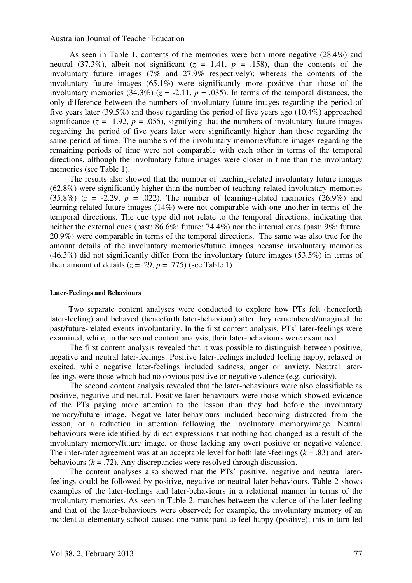As seen in Table 1, contents of the memories were both more negative (28.4%) and neutral (37.3%), albeit not significant ( $z = 1.41$ ,  $p = .158$ ), than the contents of the involuntary future images (7% and 27.9% respectively); whereas the contents of the involuntary future images (65.1%) were significantly more positive than those of the involuntary memories (34.3%) ( $z = -2.11$ ,  $p = .035$ ). In terms of the temporal distances, the only difference between the numbers of involuntary future images regarding the period of five years later (39.5%) and those regarding the period of five years ago (10.4%) approached significance  $(z = -1.92, p = .055)$ , signifying that the numbers of involuntary future images regarding the period of five years later were significantly higher than those regarding the same period of time. The numbers of the involuntary memories/future images regarding the remaining periods of time were not comparable with each other in terms of the temporal directions, although the involuntary future images were closer in time than the involuntary memories (see Table 1).

The results also showed that the number of teaching-related involuntary future images (62.8%) were significantly higher than the number of teaching-related involuntary memories  $(35.8\%)$  ( $z = -2.29$ ,  $p = .022$ ). The number of learning-related memories (26.9%) and learning-related future images (14%) were not comparable with one another in terms of the temporal directions. The cue type did not relate to the temporal directions, indicating that neither the external cues (past: 86.6%; future: 74.4%) nor the internal cues (past: 9%; future: 20.9%) were comparable in terms of the temporal directions. The same was also true for the amount details of the involuntary memories/future images because involuntary memories (46.3%) did not significantly differ from the involuntary future images (53.5%) in terms of their amount of details  $(z = .29, p = .775)$  (see Table 1).

#### **Later-Feelings and Behaviours**

Two separate content analyses were conducted to explore how PTs felt (henceforth later-feeling) and behaved (henceforth later-behaviour) after they remembered/imagined the past/future-related events involuntarily. In the first content analysis, PTs' later-feelings were examined, while, in the second content analysis, their later-behaviours were examined.

The first content analysis revealed that it was possible to distinguish between positive, negative and neutral later-feelings. Positive later-feelings included feeling happy, relaxed or excited, while negative later-feelings included sadness, anger or anxiety. Neutral laterfeelings were those which had no obvious positive or negative valence (e.g. curiosity).

The second content analysis revealed that the later-behaviours were also classifiable as positive, negative and neutral. Positive later-behaviours were those which showed evidence of the PTs paying more attention to the lesson than they had before the involuntary memory/future image. Negative later-behaviours included becoming distracted from the lesson, or a reduction in attention following the involuntary memory/image. Neutral behaviours were identified by direct expressions that nothing had changed as a result of the involuntary memory/future image, or those lacking any overt positive or negative valence. The inter-rater agreement was at an acceptable level for both later-feelings  $(k = .83)$  and laterbehaviours  $(k = .72)$ . Any discrepancies were resolved through discussion.

The content analyses also showed that the PTs' positive, negative and neutral laterfeelings could be followed by positive, negative or neutral later-behaviours. Table 2 shows examples of the later-feelings and later-behaviours in a relational manner in terms of the involuntary memories. As seen in Table 2, matches between the valence of the later-feeling and that of the later-behaviours were observed; for example, the involuntary memory of an incident at elementary school caused one participant to feel happy (positive); this in turn led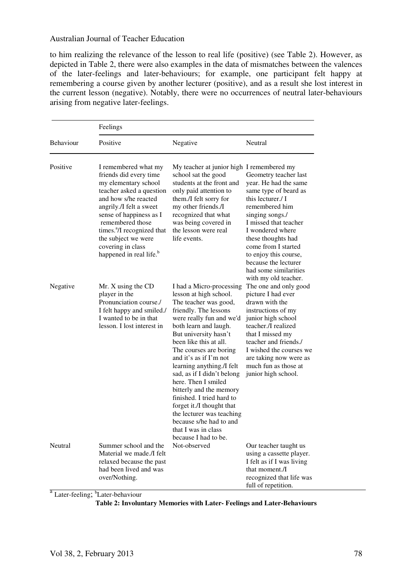to him realizing the relevance of the lesson to real life (positive) (see Table 2). However, as depicted in Table 2, there were also examples in the data of mismatches between the valences of the later-feelings and later-behaviours; for example, one participant felt happy at remembering a course given by another lecturer (positive), and as a result she lost interest in the current lesson (negative). Notably, there were no occurrences of neutral later-behaviours arising from negative later-feelings.

|                  | Feelings                                                                                                                                                                                                                                                                                                                          |                                                                                                                                                                                                                                                                                                                                                                                                                                                                                                                                                       |                                                                                                                                                                                                                                                                                                                               |  |  |  |
|------------------|-----------------------------------------------------------------------------------------------------------------------------------------------------------------------------------------------------------------------------------------------------------------------------------------------------------------------------------|-------------------------------------------------------------------------------------------------------------------------------------------------------------------------------------------------------------------------------------------------------------------------------------------------------------------------------------------------------------------------------------------------------------------------------------------------------------------------------------------------------------------------------------------------------|-------------------------------------------------------------------------------------------------------------------------------------------------------------------------------------------------------------------------------------------------------------------------------------------------------------------------------|--|--|--|
| <b>Behaviour</b> | Positive                                                                                                                                                                                                                                                                                                                          | Negative                                                                                                                                                                                                                                                                                                                                                                                                                                                                                                                                              | Neutral                                                                                                                                                                                                                                                                                                                       |  |  |  |
| Positive         | I remembered what my<br>friends did every time<br>my elementary school<br>teacher asked a question<br>and how s/he reacted<br>angrily./I felt a sweet<br>sense of happiness as I<br>remembered those<br>times. <sup>a</sup> /I recognized that<br>the subject we were<br>covering in class<br>happened in real life. <sup>b</sup> | My teacher at junior high I remembered my<br>school sat the good<br>students at the front and<br>only paid attention to<br>them./I felt sorry for<br>my other friends./I<br>recognized that what<br>was being covered in<br>the lesson were real<br>life events.                                                                                                                                                                                                                                                                                      | Geometry teacher last<br>year. He had the same<br>same type of beard as<br>this lecturer./ I<br>remembered him<br>singing songs./<br>I missed that teacher<br>I wondered where<br>these thoughts had<br>come from I started<br>to enjoy this course,<br>because the lecturer<br>had some similarities<br>with my old teacher. |  |  |  |
| Negative         | Mr. X using the CD<br>player in the<br>Pronunciation course./<br>I felt happy and smiled./<br>I wanted to be in that<br>lesson. I lost interest in                                                                                                                                                                                | I had a Micro-processing<br>lesson at high school.<br>The teacher was good,<br>friendly. The lessons<br>were really fun and we'd<br>both learn and laugh.<br>But university hasn't<br>been like this at all.<br>The courses are boring<br>and it's as if $\Gamma$ m not<br>learning anything./I felt<br>sad, as if I didn't belong<br>here. Then I smiled<br>bitterly and the memory<br>finished. I tried hard to<br>forget it./I thought that<br>the lecturer was teaching<br>because s/he had to and<br>that I was in class<br>because I had to be. | The one and only good<br>picture I had ever<br>drawn with the<br>instructions of my<br>junior high school<br>teacher./I realized<br>that I missed my<br>teacher and friends./<br>I wished the courses we<br>are taking now were as<br>much fun as those at<br>junior high school.                                             |  |  |  |
| Neutral          | Summer school and the<br>Material we made./I felt<br>relaxed because the past<br>had been lived and was<br>over/Nothing.                                                                                                                                                                                                          | Not-observed                                                                                                                                                                                                                                                                                                                                                                                                                                                                                                                                          | Our teacher taught us<br>using a cassette player.<br>I felt as if I was living<br>that moment./I<br>recognized that life was<br>full of repetition.                                                                                                                                                                           |  |  |  |

<sup>a</sup> Later-feeling; <sup>b</sup>Later-behaviour

**Table 2: Involuntary Memories with Later- Feelings and Later-Behaviours**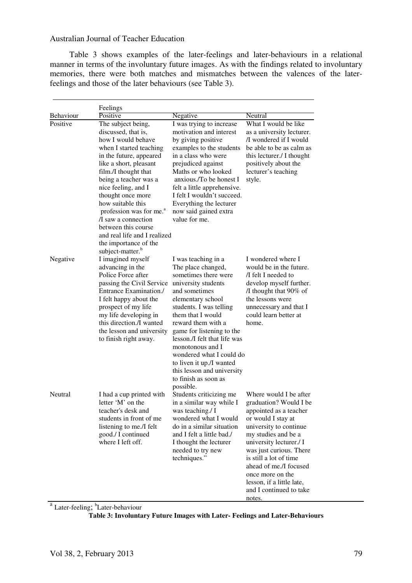Table 3 shows examples of the later-feelings and later-behaviours in a relational manner in terms of the involuntary future images. As with the findings related to involuntary memories, there were both matches and mismatches between the valences of the laterfeelings and those of the later behaviours (see Table 3).

|           | Feelings                            |                              |                           |  |  |  |  |
|-----------|-------------------------------------|------------------------------|---------------------------|--|--|--|--|
| Behaviour | Positive                            | Negative                     | Neutral                   |  |  |  |  |
| Positive  | The subject being,                  | I was trying to increase     | What I would be like      |  |  |  |  |
|           | discussed, that is,                 | motivation and interest      | as a university lecturer. |  |  |  |  |
|           | how I would behave                  | by giving positive           | /I wondered if I would    |  |  |  |  |
|           | when I started teaching             | examples to the students     | be able to be as calm as  |  |  |  |  |
|           | in the future, appeared             | in a class who were          | this lecturer./ I thought |  |  |  |  |
|           | like a short, pleasant              | prejudiced against           | positively about the      |  |  |  |  |
|           | film./I thought that                | Maths or who looked          | lecturer's teaching       |  |  |  |  |
|           | being a teacher was a               | anxious./To be honest I      | style.                    |  |  |  |  |
|           | nice feeling, and I                 | felt a little apprehensive.  |                           |  |  |  |  |
|           | thought once more                   | I felt I wouldn't succeed.   |                           |  |  |  |  |
|           | how suitable this                   | Everything the lecturer      |                           |  |  |  |  |
|           | profession was for me. <sup>a</sup> | now said gained extra        |                           |  |  |  |  |
|           | I saw a connection                  | value for me.                |                           |  |  |  |  |
|           | between this course                 |                              |                           |  |  |  |  |
|           | and real life and I realized        |                              |                           |  |  |  |  |
|           | the importance of the               |                              |                           |  |  |  |  |
|           | subject-matter. <sup>b</sup>        |                              |                           |  |  |  |  |
| Negative  | I imagined myself                   | I was teaching in a          | I wondered where I        |  |  |  |  |
|           | advancing in the                    | The place changed,           | would be in the future.   |  |  |  |  |
|           | Police Force after                  | sometimes there were         | /I felt I needed to       |  |  |  |  |
|           | passing the Civil Service           | university students          | develop myself further.   |  |  |  |  |
|           | Entrance Examination./              | and sometimes                | /I thought that 90% of    |  |  |  |  |
|           | I felt happy about the              | elementary school            | the lessons were          |  |  |  |  |
|           | prospect of my life                 | students. I was telling      | unnecessary and that I    |  |  |  |  |
|           | my life developing in               | them that I would            | could learn better at     |  |  |  |  |
|           | this direction./I wanted            | reward them with a           | home.                     |  |  |  |  |
|           | the lesson and university           | game for listening to the    |                           |  |  |  |  |
|           | to finish right away.               | lesson./I felt that life was |                           |  |  |  |  |
|           |                                     | monotonous and I             |                           |  |  |  |  |
|           |                                     | wondered what I could do     |                           |  |  |  |  |
|           |                                     | to liven it up./I wanted     |                           |  |  |  |  |
|           |                                     | this lesson and university   |                           |  |  |  |  |
|           |                                     | to finish as soon as         |                           |  |  |  |  |
|           |                                     | possible.                    |                           |  |  |  |  |
| Neutral   | I had a cup printed with            | Students criticizing me      | Where would I be after    |  |  |  |  |
|           | letter 'M' on the                   | in a similar way while I     | graduation? Would I be    |  |  |  |  |
|           | teacher's desk and                  | was teaching./ I             | appointed as a teacher    |  |  |  |  |
|           | students in front of me             | wondered what I would        | or would I stay at        |  |  |  |  |
|           | listening to me./I felt             | do in a similar situation    | university to continue    |  |  |  |  |
|           | good./ I continued                  | and I felt a little bad./    | my studies and be a       |  |  |  |  |
|           | where I left off.                   | I thought the lecturer       | university lecturer./ I   |  |  |  |  |
|           |                                     | needed to try new            | was just curious. There   |  |  |  |  |
|           |                                     | techniques."                 | is still a lot of time    |  |  |  |  |
|           |                                     |                              | ahead of me./I focused    |  |  |  |  |
|           |                                     |                              | once more on the          |  |  |  |  |
|           |                                     |                              | lesson, if a little late, |  |  |  |  |
|           |                                     |                              | and I continued to take   |  |  |  |  |
|           |                                     |                              | notes.                    |  |  |  |  |

<sup>a</sup> Later-feeling; <sup>b</sup>Later-behaviour

**Table 3: Involuntary Future Images with Later- Feelings and Later-Behaviours**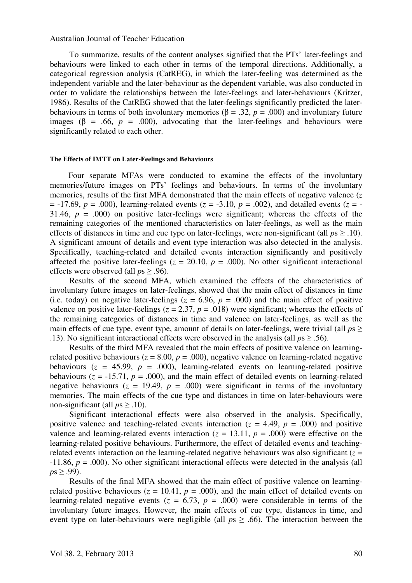To summarize, results of the content analyses signified that the PTs' later-feelings and behaviours were linked to each other in terms of the temporal directions. Additionally, a categorical regression analysis (CatREG), in which the later-feeling was determined as the independent variable and the later-behaviour as the dependent variable, was also conducted in order to validate the relationships between the later-feelings and later-behaviours (Kritzer, 1986). Results of the CatREG showed that the later-feelings significantly predicted the laterbehaviours in terms of both involuntary memories ( $\beta = .32$ ,  $p = .000$ ) and involuntary future images ( $\beta$  = .66,  $p$  = .000), advocating that the later-feelings and behaviours were significantly related to each other.

#### **The Effects of IMTT on Later-Feelings and Behaviours**

Four separate MFAs were conducted to examine the effects of the involuntary memories/future images on PTs' feelings and behaviours. In terms of the involuntary memories, results of the first MFA demonstrated that the main effects of negative valence (*z*  $= -17.69$ ,  $p = .000$ ), learning-related events ( $z = -3.10$ ,  $p = .002$ ), and detailed events ( $z = -1$ 31.46,  $p = .000$  on positive later-feelings were significant; whereas the effects of the remaining categories of the mentioned characteristics on later-feelings, as well as the main effects of distances in time and cue type on later-feelings, were non-significant (all *p*s ≥ .10). A significant amount of details and event type interaction was also detected in the analysis. Specifically, teaching-related and detailed events interaction significantly and positively affected the positive later-feelings  $(z = 20.10, p = .000)$ . No other significant interactional effects were observed (all *p*s ≥ .96).

Results of the second MFA, which examined the effects of the characteristics of involuntary future images on later-feelings, showed that the main effect of distances in time (i.e. today) on negative later-feelings ( $z = 6.96$ ,  $p = .000$ ) and the main effect of positive valence on positive later-feelings ( $z = 2.37$ ,  $p = .018$ ) were significant; whereas the effects of the remaining categories of distances in time and valence on later-feelings, as well as the main effects of cue type, event type, amount of details on later-feelings, were trivial (all  $ps \geq$ .13). No significant interactional effects were observed in the analysis (all *p*s ≥ .56).

Results of the third MFA revealed that the main effects of positive valence on learningrelated positive behaviours ( $z = 8.00$ ,  $p = .000$ ), negative valence on learning-related negative behaviours  $(z = 45.99, p = .000)$ , learning-related events on learning-related positive behaviours ( $z = -15.71$ ,  $p = .000$ ), and the main effect of detailed events on learning-related negative behaviours ( $z = 19.49$ ,  $p = .000$ ) were significant in terms of the involuntary memories. The main effects of the cue type and distances in time on later-behaviours were non-significant (all  $ps \geq .10$ ).

Significant interactional effects were also observed in the analysis. Specifically, positive valence and teaching-related events interaction ( $z = 4.49$ ,  $p = .000$ ) and positive valence and learning-related events interaction  $(z = 13.11, p = .000)$  were effective on the learning-related positive behaviours. Furthermore, the effect of detailed events and teachingrelated events interaction on the learning-related negative behaviours was also significant ( $z =$ -11.86, *p* = .000). No other significant interactional effects were detected in the analysis (all  $p_s > .99$ ).

Results of the final MFA showed that the main effect of positive valence on learningrelated positive behaviours ( $z = 10.41$ ,  $p = .000$ ), and the main effect of detailed events on learning-related negative events  $(z = 6.73, p = .000)$  were considerable in terms of the involuntary future images. However, the main effects of cue type, distances in time, and event type on later-behaviours were negligible (all  $ps \geq .66$ ). The interaction between the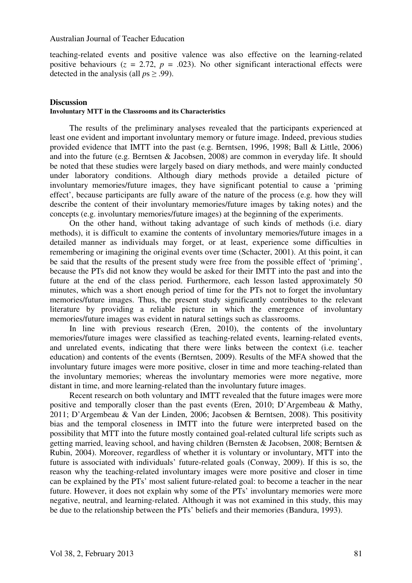teaching-related events and positive valence was also effective on the learning-related positive behaviours  $(z = 2.72, p = .023)$ . No other significant interactional effects were detected in the analysis (all *p*s ≥ .99).

# **Discussion**

# **Involuntary MTT in the Classrooms and its Characteristics**

The results of the preliminary analyses revealed that the participants experienced at least one evident and important involuntary memory or future image. Indeed, previous studies provided evidence that IMTT into the past (e.g. Berntsen, 1996, 1998; Ball & Little, 2006) and into the future (e.g. Berntsen & Jacobsen, 2008) are common in everyday life. It should be noted that these studies were largely based on diary methods, and were mainly conducted under laboratory conditions. Although diary methods provide a detailed picture of involuntary memories/future images, they have significant potential to cause a 'priming effect', because participants are fully aware of the nature of the process (e.g. how they will describe the content of their involuntary memories/future images by taking notes) and the concepts (e.g. involuntary memories/future images) at the beginning of the experiments.

On the other hand, without taking advantage of such kinds of methods (i.e. diary methods), it is difficult to examine the contents of involuntary memories/future images in a detailed manner as individuals may forget, or at least, experience some difficulties in remembering or imagining the original events over time (Schacter, 2001). At this point, it can be said that the results of the present study were free from the possible effect of 'priming', because the PTs did not know they would be asked for their IMTT into the past and into the future at the end of the class period. Furthermore, each lesson lasted approximately 50 minutes, which was a short enough period of time for the PTs not to forget the involuntary memories/future images. Thus, the present study significantly contributes to the relevant literature by providing a reliable picture in which the emergence of involuntary memories/future images was evident in natural settings such as classrooms.

In line with previous research (Eren, 2010), the contents of the involuntary memories/future images were classified as teaching-related events, learning-related events, and unrelated events, indicating that there were links between the context (i.e. teacher education) and contents of the events (Berntsen, 2009). Results of the MFA showed that the involuntary future images were more positive, closer in time and more teaching-related than the involuntary memories; whereas the involuntary memories were more negative, more distant in time, and more learning-related than the involuntary future images.

Recent research on both voluntary and IMTT revealed that the future images were more positive and temporally closer than the past events (Eren, 2010; D'Argembeau & Mathy, 2011; D'Argembeau & Van der Linden, 2006; Jacobsen & Berntsen, 2008). This positivity bias and the temporal closeness in IMTT into the future were interpreted based on the possibility that MTT into the future mostly contained goal-related cultural life scripts such as getting married, leaving school, and having children (Bernsten & Jacobsen, 2008; Berntsen & Rubin, 2004). Moreover, regardless of whether it is voluntary or involuntary, MTT into the future is associated with individuals' future-related goals (Conway, 2009). If this is so, the reason why the teaching-related involuntary images were more positive and closer in time can be explained by the PTs' most salient future-related goal: to become a teacher in the near future. However, it does not explain why some of the PTs' involuntary memories were more negative, neutral, and learning-related. Although it was not examined in this study, this may be due to the relationship between the PTs' beliefs and their memories (Bandura, 1993).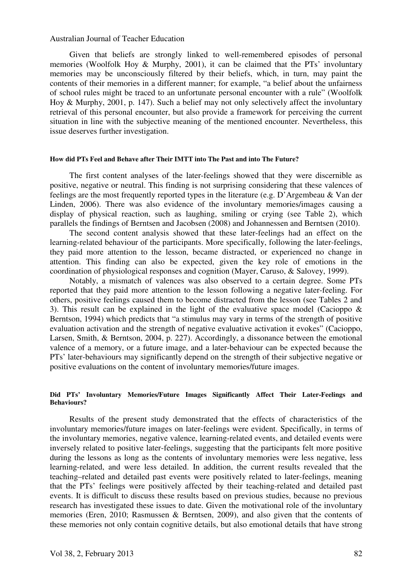Given that beliefs are strongly linked to well-remembered episodes of personal memories (Woolfolk Hoy & Murphy, 2001), it can be claimed that the PTs' involuntary memories may be unconsciously filtered by their beliefs, which, in turn, may paint the contents of their memories in a different manner; for example, "a belief about the unfairness of school rules might be traced to an unfortunate personal encounter with a rule" (Woolfolk Hoy & Murphy, 2001, p. 147). Such a belief may not only selectively affect the involuntary retrieval of this personal encounter, but also provide a framework for perceiving the current situation in line with the subjective meaning of the mentioned encounter. Nevertheless, this issue deserves further investigation.

#### **How did PTs Feel and Behave after Their IMTT into The Past and into The Future?**

The first content analyses of the later-feelings showed that they were discernible as positive, negative or neutral. This finding is not surprising considering that these valences of feelings are the most frequently reported types in the literature (e.g. D'Argembeau & Van der Linden, 2006). There was also evidence of the involuntary memories/images causing a display of physical reaction, such as laughing, smiling or crying (see Table 2), which parallels the findings of Berntsen and Jacobsen (2008) and Johannessen and Berntsen (2010).

The second content analysis showed that these later-feelings had an effect on the learning-related behaviour of the participants. More specifically, following the later-feelings, they paid more attention to the lesson, became distracted, or experienced no change in attention. This finding can also be expected, given the key role of emotions in the coordination of physiological responses and cognition (Mayer, Caruso, & Salovey, 1999).

Notably, a mismatch of valences was also observed to a certain degree. Some PTs reported that they paid more attention to the lesson following a negative later-feeling. For others, positive feelings caused them to become distracted from the lesson (see Tables 2 and 3). This result can be explained in the light of the evaluative space model (Cacioppo & Berntson, 1994) which predicts that "a stimulus may vary in terms of the strength of positive evaluation activation and the strength of negative evaluative activation it evokes" (Cacioppo, Larsen, Smith, & Berntson, 2004, p. 227). Accordingly, a dissonance between the emotional valence of a memory, or a future image, and a later-behaviour can be expected because the PTs' later-behaviours may significantly depend on the strength of their subjective negative or positive evaluations on the content of involuntary memories/future images.

#### **Did PTs' Involuntary Memories/Future Images Significantly Affect Their Later-Feelings and Behaviours?**

Results of the present study demonstrated that the effects of characteristics of the involuntary memories/future images on later-feelings were evident. Specifically, in terms of the involuntary memories, negative valence, learning-related events, and detailed events were inversely related to positive later-feelings, suggesting that the participants felt more positive during the lessons as long as the contents of involuntary memories were less negative, less learning-related, and were less detailed. In addition, the current results revealed that the teaching–related and detailed past events were positively related to later-feelings, meaning that the PTs' feelings were positively affected by their teaching-related and detailed past events. It is difficult to discuss these results based on previous studies, because no previous research has investigated these issues to date. Given the motivational role of the involuntary memories (Eren, 2010; Rasmussen & Berntsen, 2009), and also given that the contents of these memories not only contain cognitive details, but also emotional details that have strong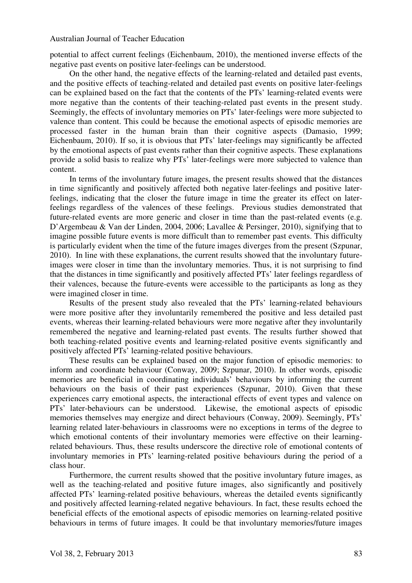potential to affect current feelings (Eichenbaum, 2010), the mentioned inverse effects of the negative past events on positive later-feelings can be understood.

On the other hand, the negative effects of the learning-related and detailed past events, and the positive effects of teaching-related and detailed past events on positive later-feelings can be explained based on the fact that the contents of the PTs' learning-related events were more negative than the contents of their teaching-related past events in the present study. Seemingly, the effects of involuntary memories on PTs' later-feelings were more subjected to valence than content. This could be because the emotional aspects of episodic memories are processed faster in the human brain than their cognitive aspects (Damasio, 1999; Eichenbaum, 2010). If so, it is obvious that PTs' later-feelings may significantly be affected by the emotional aspects of past events rather than their cognitive aspects. These explanations provide a solid basis to realize why PTs' later-feelings were more subjected to valence than content.

In terms of the involuntary future images, the present results showed that the distances in time significantly and positively affected both negative later-feelings and positive laterfeelings, indicating that the closer the future image in time the greater its effect on laterfeelings regardless of the valences of these feelings. Previous studies demonstrated that future-related events are more generic and closer in time than the past-related events (e.g. D'Argembeau & Van der Linden, 2004, 2006; Lavallee & Persinger, 2010), signifying that to imagine possible future events is more difficult than to remember past events. This difficulty is particularly evident when the time of the future images diverges from the present (Szpunar, 2010). In line with these explanations, the current results showed that the involuntary futureimages were closer in time than the involuntary memories. Thus, it is not surprising to find that the distances in time significantly and positively affected PTs' later feelings regardless of their valences, because the future-events were accessible to the participants as long as they were imagined closer in time.

Results of the present study also revealed that the PTs' learning-related behaviours were more positive after they involuntarily remembered the positive and less detailed past events, whereas their learning-related behaviours were more negative after they involuntarily remembered the negative and learning-related past events. The results further showed that both teaching-related positive events and learning-related positive events significantly and positively affected PTs' learning-related positive behaviours.

These results can be explained based on the major function of episodic memories: to inform and coordinate behaviour (Conway, 2009; Szpunar, 2010). In other words, episodic memories are beneficial in coordinating individuals' behaviours by informing the current behaviours on the basis of their past experiences (Szpunar, 2010). Given that these experiences carry emotional aspects, the interactional effects of event types and valence on PTs' later-behaviours can be understood. Likewise, the emotional aspects of episodic memories themselves may energize and direct behaviours (Conway, 2009). Seemingly, PTs' learning related later-behaviours in classrooms were no exceptions in terms of the degree to which emotional contents of their involuntary memories were effective on their learningrelated behaviours. Thus, these results underscore the directive role of emotional contents of involuntary memories in PTs' learning-related positive behaviours during the period of a class hour.

Furthermore, the current results showed that the positive involuntary future images, as well as the teaching-related and positive future images, also significantly and positively affected PTs' learning-related positive behaviours, whereas the detailed events significantly and positively affected learning-related negative behaviours. In fact, these results echoed the beneficial effects of the emotional aspects of episodic memories on learning-related positive behaviours in terms of future images. It could be that involuntary memories/future images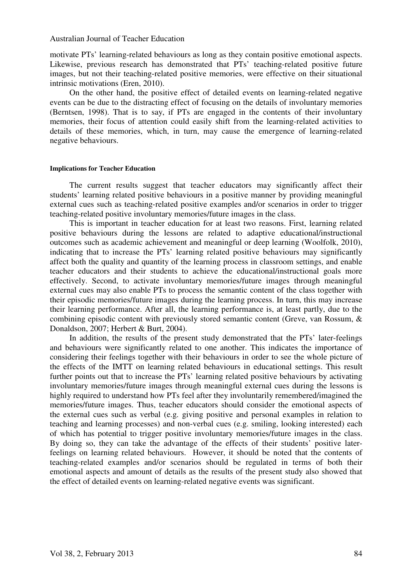motivate PTs' learning-related behaviours as long as they contain positive emotional aspects. Likewise, previous research has demonstrated that PTs' teaching-related positive future images, but not their teaching-related positive memories, were effective on their situational intrinsic motivations (Eren, 2010).

On the other hand, the positive effect of detailed events on learning-related negative events can be due to the distracting effect of focusing on the details of involuntary memories (Berntsen, 1998). That is to say, if PTs are engaged in the contents of their involuntary memories, their focus of attention could easily shift from the learning-related activities to details of these memories, which, in turn, may cause the emergence of learning-related negative behaviours.

#### **Implications for Teacher Education**

The current results suggest that teacher educators may significantly affect their students' learning related positive behaviours in a positive manner by providing meaningful external cues such as teaching-related positive examples and/or scenarios in order to trigger teaching-related positive involuntary memories/future images in the class.

This is important in teacher education for at least two reasons. First, learning related positive behaviours during the lessons are related to adaptive educational/instructional outcomes such as academic achievement and meaningful or deep learning (Woolfolk, 2010), indicating that to increase the PTs' learning related positive behaviours may significantly affect both the quality and quantity of the learning process in classroom settings, and enable teacher educators and their students to achieve the educational/instructional goals more effectively. Second, to activate involuntary memories/future images through meaningful external cues may also enable PTs to process the semantic content of the class together with their episodic memories/future images during the learning process. In turn, this may increase their learning performance. After all, the learning performance is, at least partly, due to the combining episodic content with previously stored semantic content (Greve, van Rossum, & Donaldson, 2007; Herbert & Burt, 2004).

In addition, the results of the present study demonstrated that the PTs' later-feelings and behaviours were significantly related to one another. This indicates the importance of considering their feelings together with their behaviours in order to see the whole picture of the effects of the IMTT on learning related behaviours in educational settings. This result further points out that to increase the PTs' learning related positive behaviours by activating involuntary memories/future images through meaningful external cues during the lessons is highly required to understand how PTs feel after they involuntarily remembered/imagined the memories/future images. Thus, teacher educators should consider the emotional aspects of the external cues such as verbal (e.g. giving positive and personal examples in relation to teaching and learning processes) and non-verbal cues (e.g. smiling, looking interested) each of which has potential to trigger positive involuntary memories/future images in the class. By doing so, they can take the advantage of the effects of their students' positive laterfeelings on learning related behaviours. However, it should be noted that the contents of teaching-related examples and/or scenarios should be regulated in terms of both their emotional aspects and amount of details as the results of the present study also showed that the effect of detailed events on learning-related negative events was significant.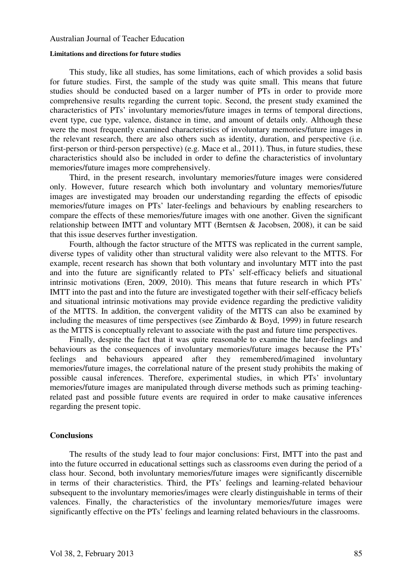#### **Limitations and directions for future studies**

This study, like all studies, has some limitations, each of which provides a solid basis for future studies. First, the sample of the study was quite small. This means that future studies should be conducted based on a larger number of PTs in order to provide more comprehensive results regarding the current topic. Second, the present study examined the characteristics of PTs' involuntary memories/future images in terms of temporal directions, event type, cue type, valence, distance in time, and amount of details only. Although these were the most frequently examined characteristics of involuntary memories/future images in the relevant research, there are also others such as identity, duration, and perspective (i.e. first-person or third-person perspective) (e.g. Mace et al., 2011). Thus, in future studies, these characteristics should also be included in order to define the characteristics of involuntary memories/future images more comprehensively.

Third, in the present research, involuntary memories/future images were considered only. However, future research which both involuntary and voluntary memories/future images are investigated may broaden our understanding regarding the effects of episodic memories/future images on PTs' later-feelings and behaviours by enabling researchers to compare the effects of these memories/future images with one another. Given the significant relationship between IMTT and voluntary MTT (Berntsen & Jacobsen, 2008), it can be said that this issue deserves further investigation.

Fourth, although the factor structure of the MTTS was replicated in the current sample, diverse types of validity other than structural validity were also relevant to the MTTS. For example, recent research has shown that both voluntary and involuntary MTT into the past and into the future are significantly related to PTs' self-efficacy beliefs and situational intrinsic motivations (Eren, 2009, 2010). This means that future research in which PTs' IMTT into the past and into the future are investigated together with their self-efficacy beliefs and situational intrinsic motivations may provide evidence regarding the predictive validity of the MTTS. In addition, the convergent validity of the MTTS can also be examined by including the measures of time perspectives (see Zimbardo & Boyd, 1999) in future research as the MTTS is conceptually relevant to associate with the past and future time perspectives.

Finally, despite the fact that it was quite reasonable to examine the later-feelings and behaviours as the consequences of involuntary memories/future images because the PTs' feelings and behaviours appeared after they remembered/imagined involuntary memories/future images, the correlational nature of the present study prohibits the making of possible causal inferences. Therefore, experimental studies, in which PTs' involuntary memories/future images are manipulated through diverse methods such as priming teachingrelated past and possible future events are required in order to make causative inferences regarding the present topic.

# **Conclusions**

The results of the study lead to four major conclusions: First, IMTT into the past and into the future occurred in educational settings such as classrooms even during the period of a class hour. Second, both involuntary memories/future images were significantly discernible in terms of their characteristics. Third, the PTs' feelings and learning-related behaviour subsequent to the involuntary memories/images were clearly distinguishable in terms of their valences. Finally, the characteristics of the involuntary memories/future images were significantly effective on the PTs' feelings and learning related behaviours in the classrooms.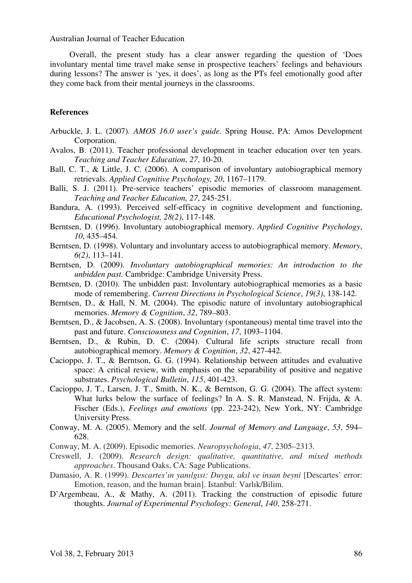Overall, the present study has a clear answer regarding the question of 'Does involuntary mental time travel make sense in prospective teachers' feelings and behaviours during lessons? The answer is 'yes, it does', as long as the PTs feel emotionally good after they come back from their mental journeys in the classrooms.

# **References**

- Arbuckle, J. L. (2007). *AMOS 16.0 user's guide.* Spring House, PA: Amos Development Corporation.
- Avalos, B. (2011). Teacher professional development in teacher education over ten years. *Teaching and Teacher Education*, *27*, 10-20.
- Ball, C. T., & Little, J. C. (2006). A comparison of involuntary autobiographical memory retrievals. *Applied Cognitive Psychology, 20*, 1167–1179.
- Balli, S. J. (2011). Pre-service teachers' episodic memories of classroom management. *Teaching and Teacher Education, 27*, 245-251.
- Bandura, A. (1993). Perceived self-efficacy in cognitive development and functioning, *Educational Psychologist, 28(2)*, 117-148.
- Berntsen, D. (1996). Involuntary autobiographical memory. *Applied Cognitive Psychology*, *10*, 435–454.
- Berntsen, D. (1998). Voluntary and involuntary access to autobiographical memory. *Memory*, *6(2)*, 113–141.
- Berntsen, D. (2009). *Involuntary autobiographical memories: An introduction to the unbidden past.* Cambridge: Cambridge University Press.
- Berntsen, D. (2010). The unbidden past: Involuntary autobiographical memories as a basic mode of remembering. *Current Directions in Psychological Science*, *19(3)*, 138-142.
- Berntsen, D., & Hall, N. M. (2004). The episodic nature of involuntary autobiographical memories. *Memory & Cognition*, *32*, 789–803.
- Berntsen, D., & Jacobsen, A. S. (2008). Involuntary (spontaneous) mental time travel into the past and future. *Consciousness and Cognition*, *17*, 1093–1104.
- Berntsen, D., & Rubin, D. C. (2004). Cultural life scripts structure recall from autobiographical memory. *Memory & Cognition*, *32*, 427-442.
- Cacioppo, J. T., & Berntson, G. G. (1994). Relationship between attitudes and evaluative space: A critical review, with emphasis on the separability of positive and negative substrates. *Psychological Bulletin*, *115*, 401-423.
- Cacioppo, J. T., Larsen, J. T., Smith, N. K., & Berntson, G. G. (2004). The affect system: What lurks below the surface of feelings? In A. S. R. Manstead, N. Frijda, & A. Fischer (Eds.), *Feelings and emotions* (pp. 223-242), New York, NY: Cambridge University Press.
- Conway, M. A. (2005). Memory and the self. *Journal of Memory and Language*, *53*, 594– 628.
- Conway, M. A. (2009). Episodic memories. *Neuropsychologia*, *47*, 2305–2313.
- Creswell, J. (2009). *Research design: qualitative, quantitative, and mixed methods approaches*. Thousand Oaks, CA: Sage Publications.
- Damasio, A. R. (1999). *Descartes'ın yanılgısı: Duygu, akıl ve insan beyni* [Descartes' error: Emotion, reason, and the human brain]. Istanbul: Varlık/Bilim.
- D'Argembeau, A., & Mathy, A. (2011). Tracking the construction of episodic future thoughts. *Journal of Experimental Psychology: General*, *140*, 258-271.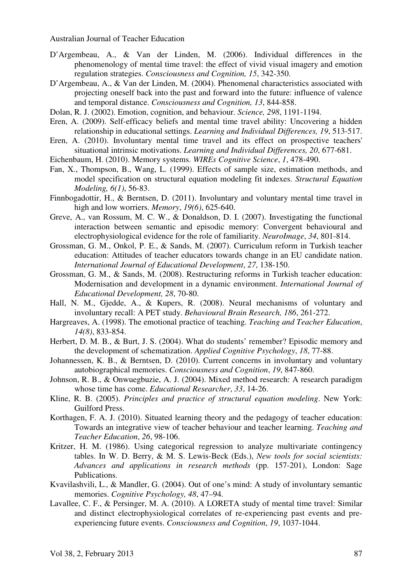- D'Argembeau, A., & Van der Linden, M. (2006). Individual differences in the phenomenology of mental time travel: the effect of vivid visual imagery and emotion regulation strategies. *Consciousness and Cognition, 15*, 342-350.
- D'Argembeau, A., & Van der Linden, M. (2004). Phenomenal characteristics associated with projecting oneself back into the past and forward into the future: influence of valence and temporal distance. *Consciousness and Cognition, 13*, 844-858.
- Dolan, R. J. (2002). Emotion, cognition, and behaviour. *Science, 298*, 1191-1194.
- Eren, A. (2009). Self-efficacy beliefs and mental time travel ability: Uncovering a hidden relationship in educational settings. *Learning and Individual Differences, 19*, 513-517.
- Eren, A. (2010). Involuntary mental time travel and its effect on prospective teachers' situational intrinsic motivations. *Learning and Individual Differences, 20*, 677-681.
- Eichenbaum, H. (2010). Memory systems. *WIREs Cognitive Science*, *1*, 478-490.
- Fan, X., Thompson, B., Wang, L. (1999). Effects of sample size, estimation methods, and model specification on structural equation modeling fit indexes. *Structural Equation Modeling, 6(1)*, 56-83.
- Finnbogadottir, H., & Berntsen, D. (2011). Involuntary and voluntary mental time travel in high and low worriers. *Memory*, *19(6)*, 625-640.
- Greve, A., van Rossum, M. C. W., & Donaldson, D. I. (2007). Investigating the functional interaction between semantic and episodic memory: Convergent behavioural and electrophysiological evidence for the role of familiarity. *NeuroImage*, *34*, 801-814.
- Grossman, G. M., Onkol, P. E., & Sands, M. (2007). Curriculum reform in Turkish teacher education: Attitudes of teacher educators towards change in an EU candidate nation. *International Journal of Educational Development*, *27*, 138-150.
- Grossman, G. M., & Sands, M. (2008). Restructuring reforms in Turkish teacher education: Modernisation and development in a dynamic environment. *International Journal of Educational Development, 28*, 70-80.
- Hall, N. M., Gjedde, A., & Kupers, R. (2008). Neural mechanisms of voluntary and involuntary recall: A PET study. *Behavioural Brain Research, 186*, 261-272.
- Hargreaves, A. (1998). The emotional practice of teaching. *Teaching and Teacher Education*, *14(8)*, 833-854.
- Herbert, D. M. B., & Burt, J. S. (2004). What do students' remember? Episodic memory and the development of schematization. *Applied Cognitive Psychology*, *18*, 77-88.
- Johannessen, K. B., & Berntsen, D. (2010). Current concerns in involuntary and voluntary autobiographical memories. *Consciousness and Cognition*, *19*, 847-860.
- Johnson, R. B., & Onwuegbuzie, A. J. (2004). Mixed method research: A research paradigm whose time has come. *Educational Researcher*, *33*, 14-26.
- Kline, R. B. (2005). *Principles and practice of structural equation modeling*. New York: Guilford Press.
- Korthagen, F. A. J. (2010). Situated learning theory and the pedagogy of teacher education: Towards an integrative view of teacher behaviour and teacher learning. *Teaching and Teacher Education*, *26*, 98-106.
- Kritzer, H. M. (1986). Using categorical regression to analyze multivariate contingency tables. In W. D. Berry, & M. S. Lewis-Beck (Eds.), *New tools for social scientists: Advances and applications in research methods* (pp. 157-201), London: Sage Publications.
- Kvavilashvili, L., & Mandler, G. (2004). Out of one's mind: A study of involuntary semantic memories. *Cognitive Psychology, 48*, 47–94.
- Lavallee, C. F., & Persinger, M. A. (2010). A LORETA study of mental time travel: Similar and distinct electrophysiological correlates of re-experiencing past events and preexperiencing future events. *Consciousness and Cognition*, *19*, 1037-1044.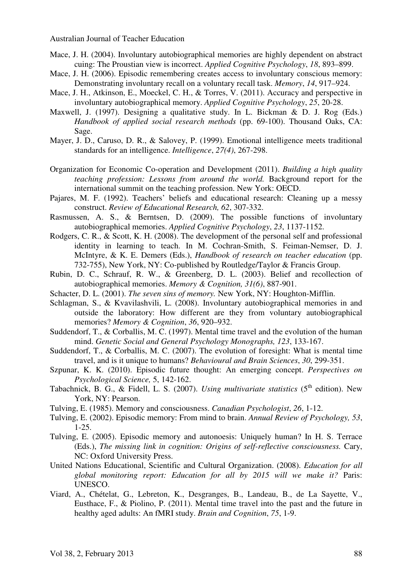- Mace, J. H. (2004). Involuntary autobiographical memories are highly dependent on abstract cuing: The Proustian view is incorrect. *Applied Cognitive Psychology*, *18*, 893–899.
- Mace, J. H. (2006). Episodic remembering creates access to involuntary conscious memory: Demonstrating involuntary recall on a voluntary recall task. *Memory*, *14*, 917–924.
- Mace, J. H., Atkinson, E., Moeckel, C. H., & Torres, V. (2011). Accuracy and perspective in involuntary autobiographical memory. *Applied Cognitive Psychology*, *25*, 20-28.
- Maxwell, J. (1997). Designing a qualitative study. In L. Bickman & D. J. Rog (Eds.) *Handbook of applied social research methods* (pp. 69-100). Thousand Oaks, CA: Sage.
- Mayer, J. D., Caruso, D. R., & Salovey, P. (1999). Emotional intelligence meets traditional standards for an intelligence. *Intelligence*, *27(4)*, 267-298.
- Organization for Economic Co-operation and Development (2011). *Building a high quality teaching profession: Lessons from around the world.* Background report for the international summit on the teaching profession. New York: OECD.
- Pajares, M. F. (1992). Teachers' beliefs and educational research: Cleaning up a messy construct. *Review of Educational Research, 62*, 307-332.
- Rasmussen, A. S., & Berntsen, D. (2009). The possible functions of involuntary autobiographical memories. *Applied Cognitive Psychology*, *23*, 1137-1152.
- Rodgers, C. R., & Scott, K. H. (2008). The development of the personal self and professional identity in learning to teach. In M. Cochran-Smith, S. Feiman-Nemser, D. J. McIntyre, & K. E. Demers (Eds.), *Handbook of research on teacher education* (pp. 732-755), New York, NY: Co-published by Routledge/Taylor & Francis Group.
- Rubin, D. C., Schrauf, R. W., & Greenberg, D. L. (2003). Belief and recollection of autobiographical memories. *Memory & Cognition, 31(6)*, 887-901.
- Schacter, D. L. (2001). *The seven sins of memory.* New York, NY: Houghton-Mifflin.
- Schlagman, S., & Kvavilashvili, L. (2008). Involuntary autobiographical memories in and outside the laboratory: How different are they from voluntary autobiographical memories? *Memory & Cognition*, *36*, 920–932.
- Suddendorf, T., & Corballis, M. C. (1997). Mental time travel and the evolution of the human mind. *Genetic Social and General Psychology Monographs, 123*, 133-167.
- Suddendorf, T., & Corballis, M. C. (2007). The evolution of foresight: What is mental time travel, and is it unique to humans? *Behavioural and Brain Sciences*, *30*, 299-351.
- Szpunar, K. K. (2010). Episodic future thought: An emerging concept. *Perspectives on Psychological Science,* 5, 142-162.
- Tabachnick, B. G., & Fidell, L. S. (2007). *Using multivariate statistics* (5<sup>th</sup> edition). New York, NY: Pearson.
- Tulving, E. (1985). Memory and consciousness. *Canadian Psychologist*, *26*, 1-12.
- Tulving, E. (2002). Episodic memory: From mind to brain. *Annual Review of Psychology, 53*, 1-25.
- Tulving, E. (2005). Episodic memory and autonoesis: Uniquely human? In H. S. Terrace (Eds.), *The missing link in cognition: Origins of self-reflective consciousness.* Cary, NC: Oxford University Press.
- United Nations Educational, Scientific and Cultural Organization. (2008). *Education for all global monitoring report: Education for all by 2015 will we make it?* Paris: UNESCO.
- Viard, A., Chételat, G., Lebreton, K., Desgranges, B., Landeau, B., de La Sayette, V., Eusthace, F., & Piolino, P. (2011). Mental time travel into the past and the future in healthy aged adults: An fMRI study. *Brain and Cognition*, *75*, 1-9.